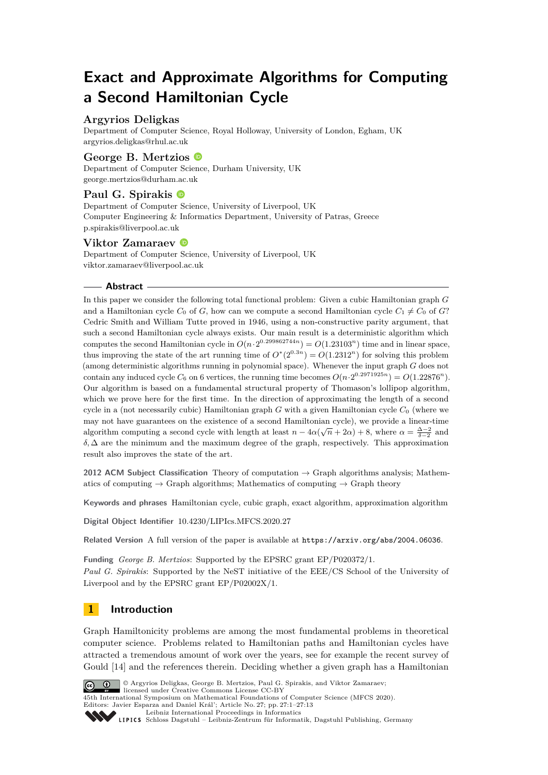# **Exact and Approximate Algorithms for Computing a Second Hamiltonian Cycle**

# **Argyrios Deligkas**

Department of Computer Science, Royal Holloway, University of London, Egham, UK [argyrios.deligkas@rhul.ac.uk](mailto:argyrios.deligkas@rhul.ac.uk)

## **George B. Mertzios**

Department of Computer Science, Durham University, UK [george.mertzios@durham.ac.uk](mailto:george.mertzios@durham.ac.uk)

# **Paul G. Spirakis**

Department of Computer Science, University of Liverpool, UK Computer Engineering & Informatics Department, University of Patras, Greece [p.spirakis@liverpool.ac.uk](mailto:p.spirakis@liverpool.ac.uk)

## **Viktor Zamaraev**

Department of Computer Science, University of Liverpool, UK [viktor.zamaraev@liverpool.ac.uk](mailto:viktor.zamaraev@liverpool.ac.uk)

### **Abstract**

In this paper we consider the following total functional problem: Given a cubic Hamiltonian graph *G* and a Hamiltonian cycle  $C_0$  of  $G$ , how can we compute a second Hamiltonian cycle  $C_1 \neq C_0$  of  $G$ ? Cedric Smith and William Tutte proved in 1946, using a non-constructive parity argument, that such a second Hamiltonian cycle always exists. Our main result is a deterministic algorithm which computes the second Hamiltonian cycle in  $O(n \cdot 2^{0.299862744n}) = O(1.23103^n)$  time and in linear space, thus improving the state of the art running time of  $O^*(2^{0.3n}) = O(1.2312^n)$  for solving this problem (among deterministic algorithms running in polynomial space). Whenever the input graph *G* does not contain any induced cycle  $C_6$  on 6 vertices, the running time becomes  $O(n \cdot 2^{0.2971925n}) = O(1.22876^n)$ . Our algorithm is based on a fundamental structural property of Thomason's lollipop algorithm, which we prove here for the first time. In the direction of approximating the length of a second cycle in a (not necessarily cubic) Hamiltonian graph *G* with a given Hamiltonian cycle *C*<sup>0</sup> (where we may not have guarantees on the existence of a second Hamiltonian cycle), we provide a linear-time algorithm computing a second cycle with length at least  $n - 4\alpha(\sqrt{n} + 2\alpha) + 8$ , where  $\alpha = \frac{\Delta-2}{\delta-2}$  and  $\delta$ ,  $\Delta$  are the minimum and the maximum degree of the graph, respectively. This approximation result also improves the state of the art.

**2012 ACM Subject Classification** Theory of computation → Graph algorithms analysis; Mathematics of computing  $\rightarrow$  Graph algorithms; Mathematics of computing  $\rightarrow$  Graph theory

**Keywords and phrases** Hamiltonian cycle, cubic graph, exact algorithm, approximation algorithm

**Digital Object Identifier** [10.4230/LIPIcs.MFCS.2020.27](https://doi.org/10.4230/LIPIcs.MFCS.2020.27)

Related Version A full version of the paper is available at <https://arxiv.org/abs/2004.06036>.

**Funding** *George B. Mertzios*: Supported by the EPSRC grant EP/P020372/1. *Paul G. Spirakis*: Supported by the NeST initiative of the EEE/CS School of the University of Liverpool and by the EPSRC grant EP/P02002X/1.

# **1 Introduction**

Graph Hamiltonicity problems are among the most fundamental problems in theoretical computer science. Problems related to Hamiltonian paths and Hamiltonian cycles have attracted a tremendous amount of work over the years, see for example the recent survey of Gould [\[14\]](#page-12-0) and the references therein. Deciding whether a given graph has a Hamiltonian



© Argyrios Deligkas, George B. Mertzios, Paul G. Spirakis, and Viktor Zamaraev; licensed under Creative Commons License CC-BY 45th International Symposium on Mathematical Foundations of Computer Science (MFCS 2020).

Editors: Javier Esparza and Daniel Král'; Article No. 27; pp. 27:1–27[:13](#page-12-1) [Leibniz International Proceedings in Informatics](https://www.dagstuhl.de/lipics/)

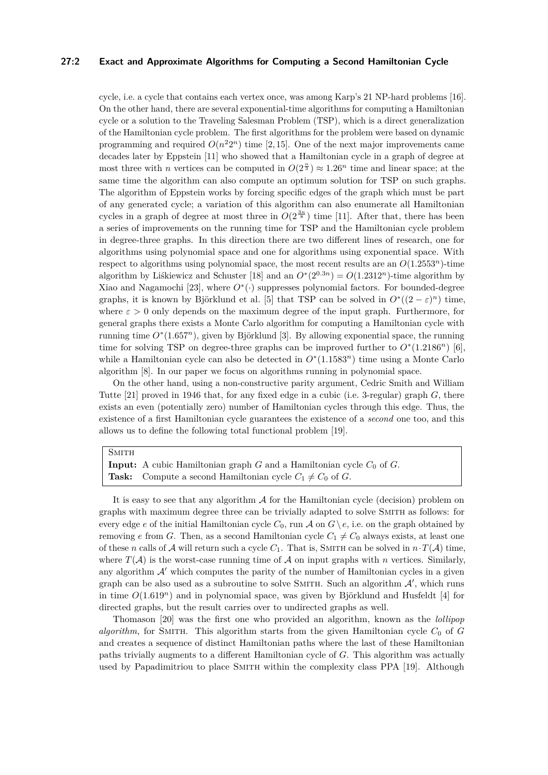### **27:2 Exact and Approximate Algorithms for Computing a Second Hamiltonian Cycle**

cycle, i.e. a cycle that contains each vertex once, was among Karp's 21 NP-hard problems [\[16\]](#page-12-2). On the other hand, there are several exponential-time algorithms for computing a Hamiltonian cycle or a solution to the Traveling Salesman Problem (TSP), which is a direct generalization of the Hamiltonian cycle problem. The first algorithms for the problem were based on dynamic programming and required  $O(n^22^n)$  time [\[2,](#page-12-3)15]. One of the next major improvements came decades later by Eppstein [\[11\]](#page-12-5) who showed that a Hamiltonian cycle in a graph of degree at most three with *n* vertices can be computed in  $O(2^{\frac{n}{3}}) \approx 1.26^n$  time and linear space; at the same time the algorithm can also compute an optimum solution for TSP on such graphs. The algorithm of Eppstein works by forcing specific edges of the graph which must be part of any generated cycle; a variation of this algorithm can also enumerate all Hamiltonian cycles in a graph of degree at most three in  $O(2^{\frac{3n}{8}})$  time [\[11\]](#page-12-5). After that, there has been a series of improvements on the running time for TSP and the Hamiltonian cycle problem in degree-three graphs. In this direction there are two different lines of research, one for algorithms using polynomial space and one for algorithms using exponential space. With respect to algorithms using polynomial space, the most recent results are an *O*(1*.*2553*n*)-time algorithm by Liškiewicz and Schuster [\[18\]](#page-12-6) and an  $O^*(2^{0.3n}) = O(1.2312^n)$ -time algorithm by Xiao and Nagamochi [\[23\]](#page-12-7), where  $O^*(\cdot)$  suppresses polynomial factors. For bounded-degree graphs, it is known by Björklund et al. [\[5\]](#page-12-8) that TSP can be solved in  $O^*((2 - \varepsilon)^n)$  time, where  $\varepsilon > 0$  only depends on the maximum degree of the input graph. Furthermore, for general graphs there exists a Monte Carlo algorithm for computing a Hamiltonian cycle with running time *O*<sup>∗</sup> (1*.*657*<sup>n</sup>*), given by Björklund [\[3\]](#page-12-9). By allowing exponential space, the running time for solving TSP on degree-three graphs can be improved further to  $O^*(1.2186^n)$  [\[6\]](#page-12-10), while a Hamiltonian cycle can also be detected in  $O<sup>*</sup>(1.1583<sup>n</sup>)$  time using a Monte Carlo algorithm [\[8\]](#page-12-11). In our paper we focus on algorithms running in polynomial space.

On the other hand, using a non-constructive parity argument, Cedric Smith and William Tutte [\[21\]](#page-12-12) proved in 1946 that, for any fixed edge in a cubic (i.e. 3-regular) graph *G*, there exists an even (potentially zero) number of Hamiltonian cycles through this edge. Thus, the existence of a first Hamiltonian cycle guarantees the existence of a *second* one too, and this allows us to define the following total functional problem [\[19\]](#page-12-13).

### **SMITH**

**Input:** A cubic Hamiltonian graph  $G$  and a Hamiltonian cycle  $C_0$  of  $G$ . **Task:** Compute a second Hamiltonian cycle  $C_1 \neq C_0$  of *G*.

It is easy to see that any algorithm  $A$  for the Hamiltonian cycle (decision) problem on graphs with maximum degree three can be trivially adapted to solve Smith as follows: for every edge *e* of the initial Hamiltonian cycle  $C_0$ , run  $\mathcal A$  on  $G \setminus e$ , i.e. on the graph obtained by removing *e* from *G*. Then, as a second Hamiltonian cycle  $C_1 \neq C_0$  always exists, at least one of these *n* calls of A will return such a cycle  $C_1$ . That is, SMITH can be solved in  $n \cdot T(A)$  time, where  $T(A)$  is the worst-case running time of A on input graphs with *n* vertices. Similarly, any algorithm  $\mathcal{A}'$  which computes the parity of the number of Hamiltonian cycles in a given graph can be also used as a subroutine to solve SMITH. Such an algorithm  $\mathcal{A}'$ , which runs in time  $O(1.619<sup>n</sup>)$  and in polynomial space, was given by Björklund and Husfeldt [\[4\]](#page-12-14) for directed graphs, but the result carries over to undirected graphs as well.

Thomason [\[20\]](#page-12-15) was the first one who provided an algorithm, known as the *lollipop algorithm*, for SMITH. This algorithm starts from the given Hamiltonian cycle  $C_0$  of  $G$ and creates a sequence of distinct Hamiltonian paths where the last of these Hamiltonian paths trivially augments to a different Hamiltonian cycle of *G*. This algorithm was actually used by Papadimitriou to place SMITH within the complexity class PPA [\[19\]](#page-12-13). Although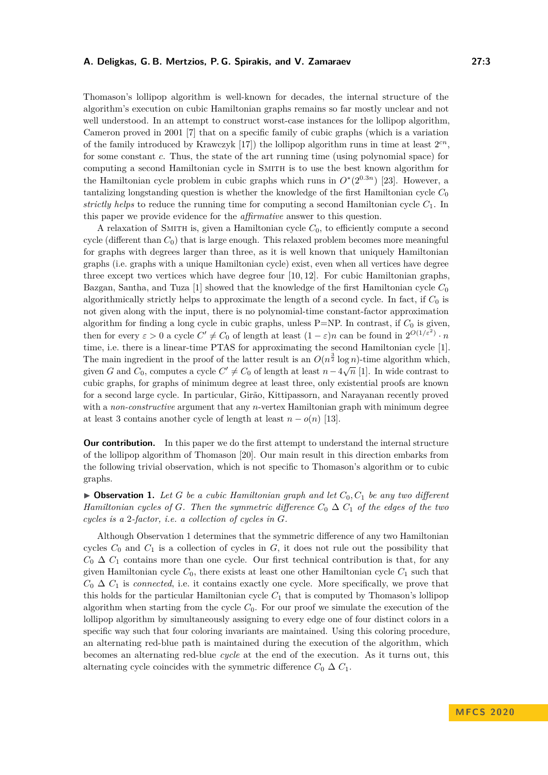Thomason's lollipop algorithm is well-known for decades, the internal structure of the algorithm's execution on cubic Hamiltonian graphs remains so far mostly unclear and not well understood. In an attempt to construct worst-case instances for the lollipop algorithm, Cameron proved in 2001 [\[7\]](#page-12-16) that on a specific family of cubic graphs (which is a variation of the family introduced by Krawczyk  $[17]$ ) the lollipop algorithm runs in time at least  $2<sup>cn</sup>$ , for some constant *c*. Thus, the state of the art running time (using polynomial space) for computing a second Hamiltonian cycle in Smith is to use the best known algorithm for the Hamiltonian cycle problem in cubic graphs which runs in  $O^*(2^{0.3n})$  [\[23\]](#page-12-7). However, a tantalizing longstanding question is whether the knowledge of the first Hamiltonian cycle *C*<sup>0</sup> *strictly helps* to reduce the running time for computing a second Hamiltonian cycle *C*1. In this paper we provide evidence for the *affirmative* answer to this question.

A relaxation of SMITH is, given a Hamiltonian cycle  $C_0$ , to efficiently compute a second cycle (different than *C*0) that is large enough. This relaxed problem becomes more meaningful for graphs with degrees larger than three, as it is well known that uniquely Hamiltonian graphs (i.e. graphs with a unique Hamiltonian cycle) exist, even when all vertices have degree three except two vertices which have degree four  $[10, 12]$  $[10, 12]$ . For cubic Hamiltonian graphs, Bazgan, Santha, and Tuza [\[1\]](#page-12-20) showed that the knowledge of the first Hamiltonian cycle *C*<sup>0</sup> algorithmically strictly helps to approximate the length of a second cycle. In fact, if *C*<sup>0</sup> is not given along with the input, there is no polynomial-time constant-factor approximation algorithm for finding a long cycle in cubic graphs, unless P=NP. In contrast, if *C*<sup>0</sup> is given, then for every  $\varepsilon > 0$  a cycle  $C' \neq C_0$  of length at least  $(1 - \varepsilon)n$  can be found in  $2^{O(1/\varepsilon^2)} \cdot n$ time, i.e. there is a linear-time PTAS for approximating the second Hamiltonian cycle [\[1\]](#page-12-20). The main ingredient in the proof of the latter result is an  $O(n^{\frac{3}{2}} \log n)$ -time algorithm which, given *G* and  $C_0$ , computes a cycle  $C' \neq C_0$  of length at least  $n - 4\sqrt{n}$  [\[1\]](#page-12-20). In wide contrast to cubic graphs, for graphs of minimum degree at least three, only existential proofs are known for a second large cycle. In particular, Girão, Kittipassorn, and Narayanan recently proved with a *non-constructive* argument that any *n*-vertex Hamiltonian graph with minimum degree at least 3 contains another cycle of length at least  $n - o(n)$  [\[13\]](#page-12-21).

**Our contribution.** In this paper we do the first attempt to understand the internal structure of the lollipop algorithm of Thomason [\[20\]](#page-12-15). Our main result in this direction embarks from the following trivial observation, which is not specific to Thomason's algorithm or to cubic graphs.

<span id="page-2-0"></span> $\triangleright$  **Observation 1.** Let *G* be a cubic Hamiltonian graph and let  $C_0$ ,  $C_1$  be any two different *Hamiltonian cycles of G. Then the symmetric difference*  $C_0 \Delta C_1$  *of the edges of the two cycles is a* 2*-factor, i.e. a collection of cycles in G.*

Although Observation [1](#page-2-0) determines that the symmetric difference of any two Hamiltonian cycles  $C_0$  and  $C_1$  is a collection of cycles in  $G$ , it does not rule out the possibility that  $C_0 \Delta C_1$  contains more than one cycle. Our first technical contribution is that, for any given Hamiltonian cycle  $C_0$ , there exists at least one other Hamiltonian cycle  $C_1$  such that  $C_0 \Delta C_1$  is *connected*, i.e. it contains exactly one cycle. More specifically, we prove that this holds for the particular Hamiltonian cycle  $C_1$  that is computed by Thomason's lollipop algorithm when starting from the cycle *C*0. For our proof we simulate the execution of the lollipop algorithm by simultaneously assigning to every edge one of four distinct colors in a specific way such that four coloring invariants are maintained. Using this coloring procedure, an alternating red-blue path is maintained during the execution of the algorithm, which becomes an alternating red-blue *cycle* at the end of the execution. As it turns out, this alternating cycle coincides with the symmetric difference  $C_0 \Delta C_1$ .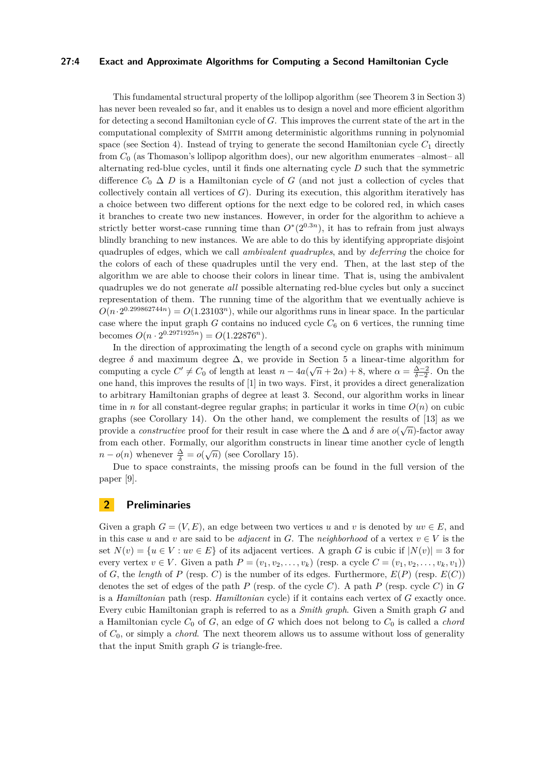### **27:4 Exact and Approximate Algorithms for Computing a Second Hamiltonian Cycle**

This fundamental structural property of the lollipop algorithm (see Theorem [3](#page-5-0) in Section [3\)](#page-4-0) has never been revealed so far, and it enables us to design a novel and more efficient algorithm for detecting a second Hamiltonian cycle of *G*. This improves the current state of the art in the computational complexity of Smith among deterministic algorithms running in polynomial space (see Section [4\)](#page-5-1). Instead of trying to generate the second Hamiltonian cycle  $C_1$  directly from *C*<sup>0</sup> (as Thomason's lollipop algorithm does), our new algorithm enumerates –almost– all alternating red-blue cycles, until it finds one alternating cycle *D* such that the symmetric difference  $C_0 \Delta D$  is a Hamiltonian cycle of G (and not just a collection of cycles that collectively contain all vertices of *G*). During its execution, this algorithm iteratively has a choice between two different options for the next edge to be colored red, in which cases it branches to create two new instances. However, in order for the algorithm to achieve a strictly better worst-case running time than  $O^*(2^{0.3n})$ , it has to refrain from just always blindly branching to new instances. We are able to do this by identifying appropriate disjoint quadruples of edges, which we call *ambivalent quadruples*, and by *deferring* the choice for the colors of each of these quadruples until the very end. Then, at the last step of the algorithm we are able to choose their colors in linear time. That is, using the ambivalent quadruples we do not generate *all* possible alternating red-blue cycles but only a succinct representation of them. The running time of the algorithm that we eventually achieve is  $O(n \cdot 2^{0.299862744n}) = O(1.23103^n)$ , while our algorithms runs in linear space. In the particular case where the input graph  $G$  contains no induced cycle  $C_6$  on 6 vertices, the running time becomes  $O(n \cdot 2^{0.2971925n}) = O(1.22876^n).$ 

In the direction of approximating the length of a second cycle on graphs with minimum degree  $\delta$  and maximum degree  $\Delta$ , we provide in Section [5](#page-9-0) a linear-time algorithm for computing a cycle  $C' \neq C_0$  of length at least  $n - 4a(\sqrt{n} + 2\alpha) + 8$ , where  $\alpha = \frac{\Delta - 2}{\delta - 2}$ . On the one hand, this improves the results of [\[1\]](#page-12-20) in two ways. First, it provides a direct generalization to arbitrary Hamiltonian graphs of degree at least 3. Second, our algorithm works in linear time in *n* for all constant-degree regular graphs; in particular it works in time  $O(n)$  on cubic graphs (see Corollary [14\)](#page-11-0). On the other hand, we complement the results of [\[13\]](#page-12-21) as we provide a *constructive* proof for their result in case where the  $\Delta$  and  $\delta$  are  $o(\sqrt{n})$ -factor away from each other. Formally, our algorithm constructs in linear time another cycle of length  $n - o(n)$  whenever  $\frac{\Delta}{\delta} = o(\sqrt{n})$  (see Corollary [15\)](#page-11-1).

Due to space constraints, the missing proofs can be found in the full version of the paper [\[9\]](#page-12-22).

### **2 Preliminaries**

Given a graph  $G = (V, E)$ , an edge between two vertices *u* and *v* is denoted by  $uv \in E$ , and in this case *u* and *v* are said to be *adjacent* in *G*. The *neighborhood* of a vertex  $v \in V$  is the set  $N(v) = \{u \in V : uv \in E\}$  of its adjacent vertices. A graph G is cubic if  $|N(v)| = 3$  for every vertex  $v \in V$ . Given a path  $P = (v_1, v_2, \ldots, v_k)$  (resp. a cycle  $C = (v_1, v_2, \ldots, v_k, v_1)$ ) of *G*, the *length* of *P* (resp. *C*) is the number of its edges. Furthermore,  $E(P)$  (resp.  $E(C)$ ) denotes the set of edges of the path *P* (resp. of the cycle *C*). A path *P* (resp. cycle *C*) in *G* is a *Hamiltonian* path (resp. *Hamiltonian* cycle) if it contains each vertex of *G* exactly once. Every cubic Hamiltonian graph is referred to as a *Smith graph*. Given a Smith graph *G* and a Hamiltonian cycle  $C_0$  of  $G$ , an edge of  $G$  which does not belong to  $C_0$  is called a *chord* of *C*0, or simply a *chord*. The next theorem allows us to assume without loss of generality that the input Smith graph *G* is triangle-free.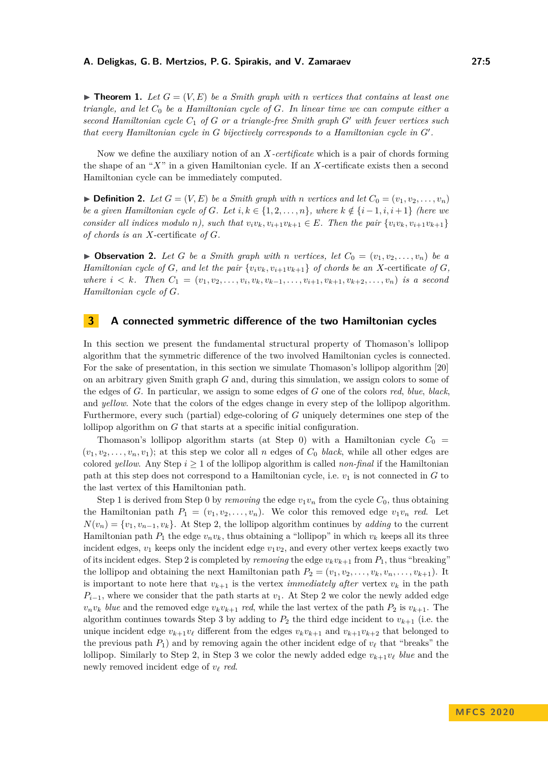$\blacktriangleright$  **Theorem 1.** Let  $G = (V, E)$  be a Smith graph with *n* vertices that contains at least one *triangle, and let C*<sup>0</sup> *be a Hamiltonian cycle of G. In linear time we can compute either a second Hamiltonian cycle C*<sup>1</sup> *of G or a triangle-free Smith graph G*<sup>0</sup> *with fewer vertices such that every Hamiltonian cycle in G bijectively corresponds to a Hamiltonian cycle in G'*.

Now we define the auxiliary notion of an *X-certificate* which is a pair of chords forming the shape of an "*X*" in a given Hamiltonian cycle. If an *X*-certificate exists then a second Hamiltonian cycle can be immediately computed.

 $\blacktriangleright$  **Definition 2.** Let  $G = (V, E)$  be a Smith graph with *n* vertices and let  $C_0 = (v_1, v_2, \ldots, v_n)$ *be a given Hamiltonian cycle of G. Let*  $i, k \in \{1, 2, \ldots, n\}$ *, where*  $k \notin \{i-1, i, i+1\}$  *(here we* consider all indices modulo n), such that  $v_i v_k, v_{i+1} v_{k+1} \in E$ . Then the pair  $\{v_i v_k, v_{i+1} v_{k+1}\}$ *of chords is an X*-certificate *of G.*

 $\triangleright$  **Observation 2.** Let G be a Smith graph with *n* vertices, let  $C_0 = (v_1, v_2, \ldots, v_n)$  be a *Hamiltonian cycle of G, and let the pair*  $\{v_i v_k, v_{i+1} v_{k+1}\}$  *of chords be an X*-certificate *of G,* where  $i < k$ . Then  $C_1 = (v_1, v_2, \ldots, v_i, v_k, v_{k-1}, \ldots, v_{i+1}, v_{k+1}, v_{k+2}, \ldots, v_n)$  is a second *Hamiltonian cycle of G.*

# <span id="page-4-0"></span>**3 A connected symmetric difference of the two Hamiltonian cycles**

In this section we present the fundamental structural property of Thomason's lollipop algorithm that the symmetric difference of the two involved Hamiltonian cycles is connected. For the sake of presentation, in this section we simulate Thomason's lollipop algorithm [\[20\]](#page-12-15) on an arbitrary given Smith graph *G* and, during this simulation, we assign colors to some of the edges of *G*. In particular, we assign to some edges of *G* one of the colors *red*, *blue*, *black*, and *yellow*. Note that the colors of the edges change in every step of the lollipop algorithm. Furthermore, every such (partial) edge-coloring of *G* uniquely determines one step of the lollipop algorithm on *G* that starts at a specific initial configuration.

Thomason's lollipop algorithm starts (at Step 0) with a Hamiltonian cycle  $C_0 =$  $(v_1, v_2, \ldots, v_n, v_1)$ ; at this step we color all *n* edges of  $C_0$  *black*, while all other edges are colored *yellow*. Any Step  $i \geq 1$  of the lollipop algorithm is called *non-final* if the Hamiltonian path at this step does not correspond to a Hamiltonian cycle, i.e.  $v_1$  is not connected in *G* to the last vertex of this Hamiltonian path.

Step 1 is derived from Step 0 by *removing* the edge  $v_1v_n$  from the cycle  $C_0$ , thus obtaining the Hamiltonian path  $P_1 = (v_1, v_2, \ldots, v_n)$ . We color this removed edge  $v_1v_n$  *red*. Let  $N(v_n) = \{v_1, v_{n-1}, v_k\}$ . At Step 2, the lollipop algorithm continues by *adding* to the current Hamiltonian path  $P_1$  the edge  $v_n v_k$ , thus obtaining a "lollipop" in which  $v_k$  keeps all its three incident edges,  $v_1$  keeps only the incident edge  $v_1v_2$ , and every other vertex keeps exactly two of its incident edges. Step 2 is completed by *removing* the edge  $v_k v_{k+1}$  from  $P_1$ , thus "breaking" the lollipop and obtaining the next Hamiltonian path  $P_2 = (v_1, v_2, \ldots, v_k, v_n, \ldots, v_{k+1})$ . It is important to note here that  $v_{k+1}$  is the vertex *immediately after* vertex  $v_k$  in the path  $P_{i-1}$ , where we consider that the path starts at *v*<sub>1</sub>. At Step 2 we color the newly added edge  $v_n v_k$  *blue* and the removed edge  $v_k v_{k+1}$  *red*, while the last vertex of the path  $P_2$  is  $v_{k+1}$ . The algorithm continues towards Step 3 by adding to  $P_2$  the third edge incident to  $v_{k+1}$  (i.e. the unique incident edge  $v_{k+1}v_{\ell}$  different from the edges  $v_kv_{k+1}$  and  $v_{k+1}v_{k+2}$  that belonged to the previous path  $P_1$ ) and by removing again the other incident edge of  $v_\ell$  that "breaks" the lollipop. Similarly to Step 2, in Step 3 we color the newly added edge  $v_{k+1}v_{\ell}$  *blue* and the newly removed incident edge of  $v_\ell$  *red*.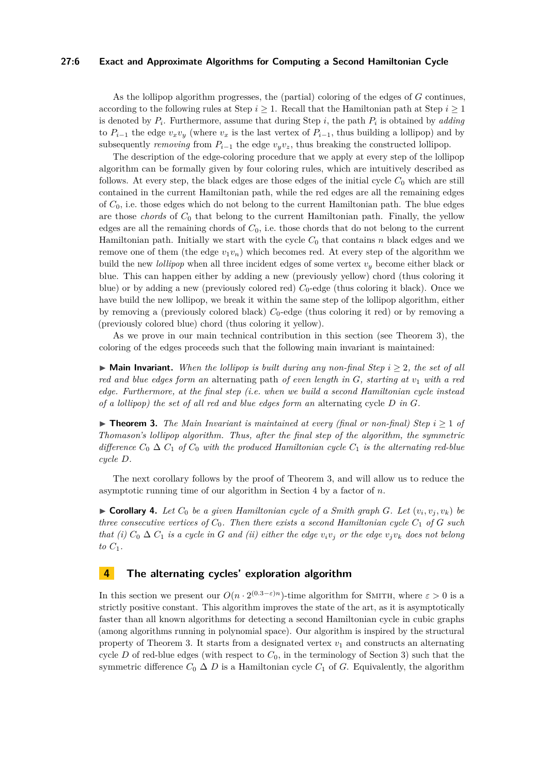### **27:6 Exact and Approximate Algorithms for Computing a Second Hamiltonian Cycle**

As the lollipop algorithm progresses, the (partial) coloring of the edges of *G* continues, according to the following rules at Step  $i \geq 1$ . Recall that the Hamiltonian path at Step  $i \geq 1$ is denoted by *P<sup>i</sup>* . Furthermore, assume that during Step *i*, the path *P<sup>i</sup>* is obtained by *adding* to  $P_{i-1}$  the edge  $v_xv_y$  (where  $v_x$  is the last vertex of  $P_{i-1}$ , thus building a lollipop) and by subsequently *removing* from  $P_{i-1}$  the edge  $v_yv_z$ , thus breaking the constructed lollipop.

The description of the edge-coloring procedure that we apply at every step of the lollipop algorithm can be formally given by four coloring rules, which are intuitively described as follows. At every step, the black edges are those edges of the initial cycle  $C_0$  which are still contained in the current Hamiltonian path, while the red edges are all the remaining edges of *C*0, i.e. those edges which do not belong to the current Hamiltonian path. The blue edges are those *chords* of *C*<sup>0</sup> that belong to the current Hamiltonian path. Finally, the yellow edges are all the remaining chords of *C*0, i.e. those chords that do not belong to the current Hamiltonian path. Initially we start with the cycle  $C_0$  that contains  $n$  black edges and we remove one of them (the edge  $v_1v_n$ ) which becomes red. At every step of the algorithm we build the new *lollipop* when all three incident edges of some vertex *v<sup>y</sup>* become either black or blue. This can happen either by adding a new (previously yellow) chord (thus coloring it blue) or by adding a new (previously colored red) *C*0-edge (thus coloring it black). Once we have build the new lollipop, we break it within the same step of the lollipop algorithm, either by removing a (previously colored black)  $C_0$ -edge (thus coloring it red) or by removing a (previously colored blue) chord (thus coloring it yellow).

As we prove in our main technical contribution in this section (see Theorem [3\)](#page-5-0), the coloring of the edges proceeds such that the following main invariant is maintained:

 $\triangleright$  **Main Invariant.** *When the lollipop is built during any non-final Step*  $i \geq 2$ *, the set of all red and blue edges form an* alternating path *of even length in G, starting at v*<sup>1</sup> *with a red edge. Furthermore, at the final step (i.e. when we build a second Hamiltonian cycle instead of a lollipop) the set of all red and blue edges form an* alternating cycle *D in G.*

<span id="page-5-0"></span>▶ **Theorem 3.** *The Main Invariant is maintained at every (final or non-final) Step*  $i \geq 1$  *of Thomason's lollipop algorithm. Thus, after the final step of the algorithm, the symmetric difference*  $C_0 \Delta C_1$  *of*  $C_0$  *with the produced Hamiltonian cycle*  $C_1$  *is the alternating red-blue cycle D.*

The next corollary follows by the proof of Theorem [3,](#page-5-0) and will allow us to reduce the asymptotic running time of our algorithm in Section [4](#page-5-1) by a factor of *n*.

 $\blacktriangleright$  **Corollary 4.** Let  $C_0$  be a given Hamiltonian cycle of a Smith graph  $G$ . Let  $(v_i, v_j, v_k)$  be *three consecutive vertices of*  $C_0$ *. Then there exists a second Hamiltonian cycle*  $C_1$  *of*  $G$  *such that (i)*  $C_0 \Delta C_1$  *is a cycle in G and (ii) either the edge*  $v_i v_j$  *or the edge*  $v_j v_k$  *does not belong*  $to C_1$ .

# <span id="page-5-1"></span>**4 The alternating cycles' exploration algorithm**

In this section we present our  $O(n \cdot 2^{(0.3-\varepsilon)n})$ -time algorithm for SMITH, where  $\varepsilon > 0$  is a strictly positive constant. This algorithm improves the state of the art, as it is asymptotically faster than all known algorithms for detecting a second Hamiltonian cycle in cubic graphs (among algorithms running in polynomial space). Our algorithm is inspired by the structural property of Theorem [3.](#page-5-0) It starts from a designated vertex  $v_1$  and constructs an alternating cycle *D* of red-blue edges (with respect to  $C_0$ , in the terminology of Section [3\)](#page-4-0) such that the symmetric difference  $C_0 \Delta D$  is a Hamiltonian cycle  $C_1$  of *G*. Equivalently, the algorithm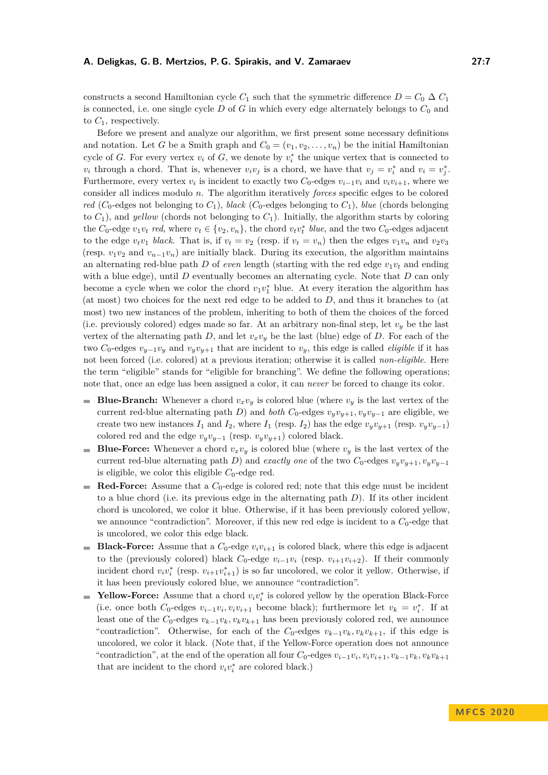constructs a second Hamiltonian cycle  $C_1$  such that the symmetric difference  $D = C_0 \Delta C_1$ is connected, i.e. one single cycle  $D$  of  $G$  in which every edge alternately belongs to  $C_0$  and to *C*1, respectively.

Before we present and analyze our algorithm, we first present some necessary definitions and notation. Let *G* be a Smith graph and  $C_0 = (v_1, v_2, \dots, v_n)$  be the initial Hamiltonian cycle of *G*. For every vertex  $v_i$  of *G*, we denote by  $v_i^*$  the unique vertex that is connected to *v*<sub>*i*</sub> through a chord. That is, whenever  $v_i v_j$  is a chord, we have that  $v_j = v_i^*$  and  $v_i = v_j^*$ . Furthermore, every vertex  $v_i$  is incident to exactly two  $C_0$ -edges  $v_{i-1}v_i$  and  $v_iv_{i+1}$ , where we consider all indices modulo *n*. The algorithm iteratively *forces* specific edges to be colored *red* (*C*<sub>0</sub>-edges not belonging to *C*<sub>1</sub>), *black* (*C*<sub>0</sub>-edges belonging to *C*<sub>1</sub>), *blue* (chords belonging to  $C_1$ ), and *yellow* (chords not belonging to  $C_1$ ). Initially, the algorithm starts by coloring the *C*<sub>0</sub>-edge  $v_1v_t$  *red*, where  $v_t \in \{v_2, v_n\}$ , the chord  $v_t v_t^*$  blue, and the two *C*<sub>0</sub>-edges adjacent to the edge  $v_t v_1$  black. That is, if  $v_t = v_2$  (resp. if  $v_t = v_n$ ) then the edges  $v_1 v_n$  and  $v_2 v_3$ (resp.  $v_1v_2$  and  $v_{n-1}v_n$ ) are initially black. During its execution, the algorithm maintains an alternating red-blue path *D* of *even* length (starting with the red edge  $v_1v_t$  and ending with a blue edge), until *D* eventually becomes an alternating cycle. Note that *D* can only become a cycle when we color the chord  $v_1v_1^*$  blue. At every iteration the algorithm has (at most) two choices for the next red edge to be added to *D*, and thus it branches to (at most) two new instances of the problem, inheriting to both of them the choices of the forced (i.e. previously colored) edges made so far. At an arbitrary non-final step, let  $v_y$  be the last vertex of the alternating path *D*, and let  $v_xv_y$  be the last (blue) edge of *D*. For each of the two  $C_0$ -edges  $v_{y-1}v_y$  and  $v_yv_{y+1}$  that are incident to  $v_y$ , this edge is called *eligible* if it has not been forced (i.e. colored) at a previous iteration; otherwise it is called *non-eligible*. Here the term "eligible" stands for "eligible for branching". We define the following operations; note that, once an edge has been assigned a color, it can *never* be forced to change its color.

- **Blue-Branch:** Whenever a chord  $v_xv_y$  is colored blue (where  $v_y$  is the last vertex of the m. current red-blue alternating path *D*) and *both*  $C_0$ -edges  $v_yv_{y+1}, v_yv_{y-1}$  are eligible, we create two new instances  $I_1$  and  $I_2$ , where  $I_1$  (resp.  $I_2$ ) has the edge  $v_yv_{y+1}$  (resp.  $v_yv_{y-1}$ ) colored red and the edge  $v_yv_{y-1}$  (resp.  $v_yv_{y+1}$ ) colored black.
- **Blue-Force:** Whenever a chord  $v_xv_y$  is colored blue (where  $v_y$  is the last vertex of the current red-blue alternating path *D*) and *exactly one* of the two  $C_0$ -edges  $v_yv_{y+1}, v_yv_{y-1}$ is eligible, we color this eligible  $C_0$ -edge red.
- **Red-Force:** Assume that a  $C_0$ -edge is colored red; note that this edge must be incident ÷. to a blue chord (i.e. its previous edge in the alternating path *D*). If its other incident chord is uncolored, we color it blue. Otherwise, if it has been previously colored yellow, we announce "contradiction". Moreover, if this new red edge is incident to a  $C_0$ -edge that is uncolored, we color this edge black.
- **Black-Force:** Assume that a  $C_0$ -edge  $v_i v_{i+1}$  is colored black, where this edge is adjacent  $\overline{\phantom{a}}$ to the (previously colored) black  $C_0$ -edge  $v_{i-1}v_i$  (resp.  $v_{i+1}v_{i+2}$ ). If their commonly incident chord  $v_i v_i^*$  (resp.  $v_{i+1} v_{i+1}^*$ ) is so far uncolored, we color it yellow. Otherwise, if it has been previously colored blue, we announce "contradiction".
- **Yellow-Force:** Assume that a chord  $v_i v_i^*$  is colored yellow by the operation Black-Force (i.e. once both  $C_0$ -edges  $v_{i-1}v_i, v_iv_{i+1}$  become black); furthermore let  $v_k = v_i^*$ . If at least one of the  $C_0$ -edges  $v_{k-1}v_k, v_kv_{k+1}$  has been previously colored red, we announce "contradiction". Otherwise, for each of the  $C_0$ -edges  $v_{k-1}v_k, v_kv_{k+1}$ , if this edge is uncolored, we color it black. (Note that, if the Yellow-Force operation does not announce "contradiction", at the end of the operation all four  $C_0$ -edges  $v_{i-1}v_i, v_iv_{i+1}, v_{k-1}v_k, v_kv_{k+1}$ that are incident to the chord  $v_i v_i^*$  are colored black.)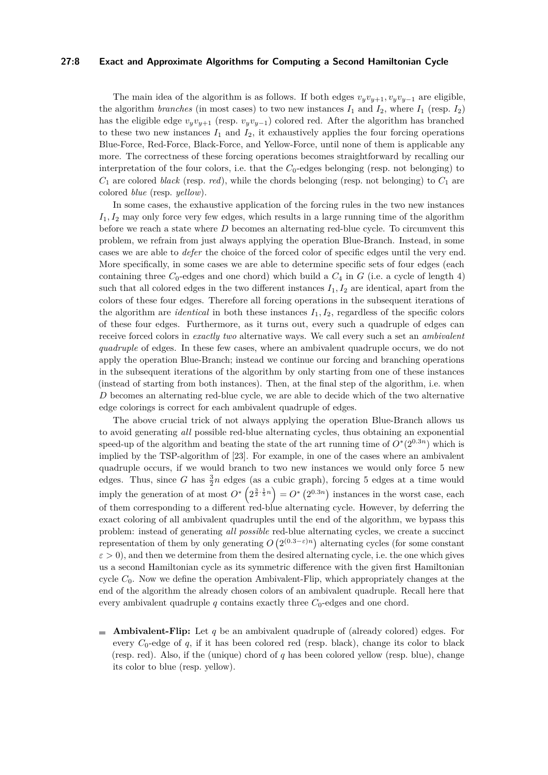### **27:8 Exact and Approximate Algorithms for Computing a Second Hamiltonian Cycle**

The main idea of the algorithm is as follows. If both edges  $v_yv_{y+1}$ ,  $v_yv_{y-1}$  are eligible, the algorithm *branches* (in most cases) to two new instances  $I_1$  and  $I_2$ , where  $I_1$  (resp.  $I_2$ ) has the eligible edge  $v_y v_{y+1}$  (resp.  $v_y v_{y-1}$ ) colored red. After the algorithm has branched to these two new instances  $I_1$  and  $I_2$ , it exhaustively applies the four forcing operations Blue-Force, Red-Force, Black-Force, and Yellow-Force, until none of them is applicable any more. The correctness of these forcing operations becomes straightforward by recalling our interpretation of the four colors, i.e. that the  $C_0$ -edges belonging (resp. not belonging) to  $C_1$  are colored *black* (resp. *red*), while the chords belonging (resp. not belonging) to  $C_1$  are colored *blue* (resp. *yellow*).

In some cases, the exhaustive application of the forcing rules in the two new instances  $I_1, I_2$  may only force very few edges, which results in a large running time of the algorithm before we reach a state where *D* becomes an alternating red-blue cycle. To circumvent this problem, we refrain from just always applying the operation Blue-Branch. Instead, in some cases we are able to *defer* the choice of the forced color of specific edges until the very end. More specifically, in some cases we are able to determine specific sets of four edges (each containing three  $C_0$ -edges and one chord) which build a  $C_4$  in  $G$  (i.e. a cycle of length 4) such that all colored edges in the two different instances  $I_1, I_2$  are identical, apart from the colors of these four edges. Therefore all forcing operations in the subsequent iterations of the algorithm are *identical* in both these instances  $I_1, I_2$ , regardless of the specific colors of these four edges. Furthermore, as it turns out, every such a quadruple of edges can receive forced colors in *exactly two* alternative ways. We call every such a set an *ambivalent quadruple* of edges. In these few cases, where an ambivalent quadruple occurs, we do not apply the operation Blue-Branch; instead we continue our forcing and branching operations in the subsequent iterations of the algorithm by only starting from one of these instances (instead of starting from both instances). Then, at the final step of the algorithm, i.e. when *D* becomes an alternating red-blue cycle, we are able to decide which of the two alternative edge colorings is correct for each ambivalent quadruple of edges.

The above crucial trick of not always applying the operation Blue-Branch allows us to avoid generating *all* possible red-blue alternating cycles, thus obtaining an exponential speed-up of the algorithm and beating the state of the art running time of  $O^*(2^{0.3n})$  which is implied by the TSP-algorithm of [\[23\]](#page-12-7). For example, in one of the cases where an ambivalent quadruple occurs, if we would branch to two new instances we would only force 5 new edges. Thus, since *G* has  $\frac{3}{2}n$  edges (as a cubic graph), forcing 5 edges at a time would imply the generation of at most  $O^* \left( 2^{\frac{3}{2} \cdot \frac{1}{5}n} \right) = O^* \left( 2^{0.3n} \right)$  instances in the worst case, each of them corresponding to a different red-blue alternating cycle. However, by deferring the exact coloring of all ambivalent quadruples until the end of the algorithm, we bypass this problem: instead of generating *all possible* red-blue alternating cycles, we create a succinct representation of them by only generating  $O(2^{(0.3-\varepsilon)n})$  alternating cycles (for some constant  $\varepsilon > 0$ ), and then we determine from them the desired alternating cycle, i.e. the one which gives us a second Hamiltonian cycle as its symmetric difference with the given first Hamiltonian cycle *C*0. Now we define the operation Ambivalent-Flip, which appropriately changes at the end of the algorithm the already chosen colors of an ambivalent quadruple. Recall here that every ambivalent quadruple  $q$  contains exactly three  $C_0$ -edges and one chord.

**Ambivalent-Flip:** Let *q* be an ambivalent quadruple of (already colored) edges. For every  $C_0$ -edge of  $q$ , if it has been colored red (resp. black), change its color to black (resp. red). Also, if the (unique) chord of *q* has been colored yellow (resp. blue), change its color to blue (resp. yellow).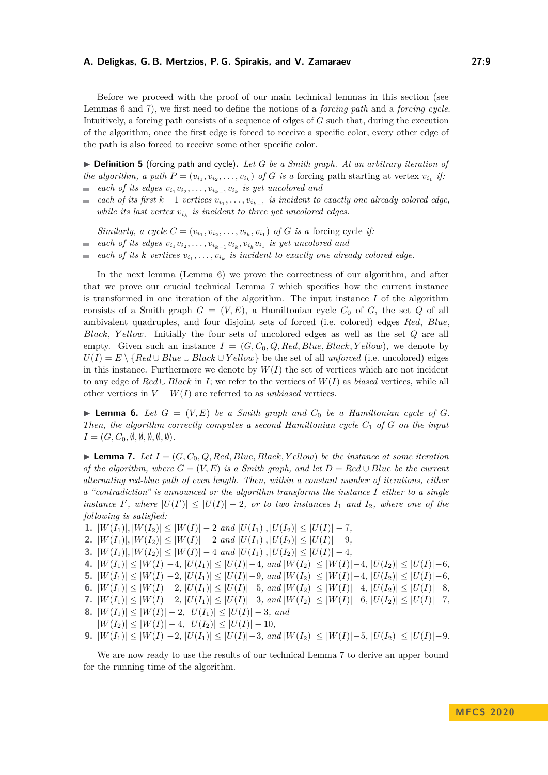Before we proceed with the proof of our main technical lemmas in this section (see Lemmas [6](#page-8-0) and [7\)](#page-8-1), we first need to define the notions of a *forcing path* and a *forcing cycle*. Intuitively, a forcing path consists of a sequence of edges of *G* such that, during the execution of the algorithm, once the first edge is forced to receive a specific color, every other edge of the path is also forced to receive some other specific color.

▶ **Definition 5** (forcing path and cycle). Let *G* be a Smith graph. At an arbitrary iteration of *the algorithm, a path*  $P = (v_{i_1}, v_{i_2}, \ldots, v_{i_k})$  *of G is a* forcing path starting at vertex  $v_{i_1}$  *if: each of its edges*  $v_{i_1}v_{i_2}, \ldots, v_{i_{k-1}}v_{i_k}$  *is yet uncolored and*  $\sim$ 

*each of its first*  $k-1$  *vertices*  $v_{i_1}, \ldots, v_{i_{k-1}}$  *is incident to exactly one already colored edge,*  $\sim$ *while its last vertex*  $v_{i_k}$  *is incident to three yet uncolored edges.* 

*Similarly, a cycle*  $C = (v_{i_1}, v_{i_2}, \ldots, v_{i_k}, v_{i_1})$  of *G is a* forcing cycle *if:* 

- *each of its edges*  $v_{i_1}v_{i_2}, \ldots, v_{i_{k-1}}v_{i_k}, v_{i_k}v_{i_1}$  *is yet uncolored and*  $\sim$
- *each of its k vertices*  $v_{i_1}, \ldots, v_{i_k}$  *is incident to exactly one already colored edge.*  $\overline{a}$

In the next lemma (Lemma [6\)](#page-8-0) we prove the correctness of our algorithm, and after that we prove our crucial technical Lemma [7](#page-8-1) which specifies how the current instance is transformed in one iteration of the algorithm. The input instance *I* of the algorithm consists of a Smith graph  $G = (V, E)$ , a Hamiltonian cycle  $C_0$  of  $G$ , the set  $Q$  of all ambivalent quadruples, and four disjoint sets of forced (i.e. colored) edges *Red*, *Blue*, *Black*, *Y ellow*. Initially the four sets of uncolored edges as well as the set *Q* are all empty. Given such an instance  $I = (G, C_0, Q, Red, Blue, Black, Yellow)$ , we denote by  $U(I) = E \setminus \{Red \cup Blue \cup Black \cup Yellow\}$  be the set of all *unforced* (i.e. uncolored) edges in this instance. Furthermore we denote by  $W(I)$  the set of vertices which are not incident to any edge of *Red* ∪ *Black* in *I*; we refer to the vertices of *W*(*I*) as *biased* vertices, while all other vertices in  $V - W(I)$  are referred to as *unbiased* vertices.

<span id="page-8-0"></span>**Example 6.** Let  $G = (V, E)$  be a Smith graph and  $C_0$  be a Hamiltonian cycle of  $G$ . *Then, the algorithm correctly computes a second Hamiltonian cycle C*<sup>1</sup> *of G on the input*  $I = (G, C_0, \emptyset, \emptyset, \emptyset, \emptyset, \emptyset).$ 

<span id="page-8-1"></span>**Lemma 7.** Let  $I = (G, C_0, Q, Red, Blue, Black, Yellow)$  be the instance at some iteration *of the algorithm, where*  $G = (V, E)$  *is a Smith graph, and let*  $D = Red \cup Blue$  *be the current alternating red-blue path of even length. Then, within a constant number of iterations, either a "contradiction" is announced or the algorithm transforms the instance I either to a single instance I'*, where  $|U(I')| \leq |U(I)| - 2$ , or to two instances  $I_1$  and  $I_2$ , where one of the *following is satisfied:*

**1.**  $|W(I_1)|, |W(I_2)| \leq |W(I)| - 2$  *and*  $|U(I_1)|, |U(I_2)| \leq |U(I)| - 7$ *,* 

**2.** 
$$
|W(I_1)|, |W(I_2)| \leq |W(I)| - 2
$$
 and  $|U(I_1)|, |U(I_2)| \leq |U(I)| - 9$ ,

- **3.**  $|W(I_1)|, |W(I_2)| \leq |W(I)| 4$  *and*  $|U(I_1)|, |U(I_2)| \leq |U(I)| 4$ *,*
- 4.  $|W(I_1)| \leq |W(I)|-4$ ,  $|U(I_1)| \leq |U(I)|-4$ , and  $|W(I_2)| \leq |W(I)|-4$ ,  $|U(I_2)| \leq |U(I)|-6$ ,
- **5.**  $|W(I_1)| \leq |W(I)|-2$ ,  $|U(I_1)| \leq |U(I)|-9$ , and  $|W(I_2)| \leq |W(I)|-4$ ,  $|U(I_2)| \leq |U(I)|-6$ ,
- **6.**  $|W(I_1)| \leq |W(I)| 2$ ,  $|U(I_1)| \leq |U(I)| 5$ , and  $|W(I_2)| \leq |W(I)| 4$ ,  $|U(I_2)| \leq |U(I)| 8$ , 7.  $|W(I_1)| \leq |W(I)| - 2$ ,  $|U(I_1)| \leq |U(I)| - 3$ , and  $|W(I_2)| \leq |W(I)| - 6$ ,  $|U(I_2)| \leq |U(I)| - 7$ ,
- **8.**  $|W(I_1)| \leq |W(I)| 2$ ,  $|U(I_1)| \leq |U(I)| 3$ , and
	- $|W(I_2)| \leq |W(I)| 4$ ,  $|U(I_2)| \leq |U(I)| 10$ ,
- **9.**  $|W(I_1)| \leq |W(I)|-2$ ,  $|U(I_1)| \leq |U(I)|-3$ , and  $|W(I_2)| \leq |W(I)|-5$ ,  $|U(I_2)| \leq |U(I)|-9$ .

We are now ready to use the results of our technical Lemma [7](#page-8-1) to derive an upper bound for the running time of the algorithm.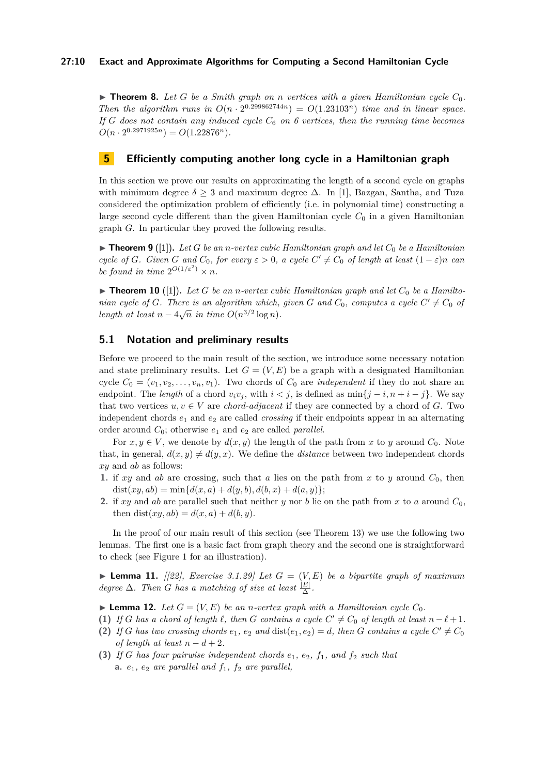### **27:10 Exact and Approximate Algorithms for Computing a Second Hamiltonian Cycle**

 $\triangleright$  **Theorem 8.** Let G be a Smith graph on *n* vertices with a given Hamiltonian cycle  $C_0$ . *Then the algorithm runs in*  $O(n \cdot 2^{0.299862744n}) = O(1.23103^n)$  *time and in linear space. If G* does not contain any induced cycle  $C_6$  on 6 vertices, then the running time becomes  $O(n \cdot 2^{0.2971925n}) = O(1.22876^n).$ 

## <span id="page-9-0"></span>**5 Efficiently computing another long cycle in a Hamiltonian graph**

In this section we prove our results on approximating the length of a second cycle on graphs with minimum degree  $\delta \geq 3$  and maximum degree  $\Delta$ . In [\[1\]](#page-12-20), Bazgan, Santha, and Tuza considered the optimization problem of efficiently (i.e. in polynomial time) constructing a large second cycle different than the given Hamiltonian cycle  $C_0$  in a given Hamiltonian graph *G*. In particular they proved the following results.

 $\triangleright$  **Theorem 9** ([\[1\]](#page-12-20)). Let *G* be an *n*-vertex cubic Hamiltonian graph and let  $C_0$  be a Hamiltonian *cycle of G*. Given *G* and  $C_0$ , for every  $\varepsilon > 0$ , a cycle  $C' \neq C_0$  of length at least  $(1 - \varepsilon)n$  can *be found in time*  $2^{O(1/\varepsilon^2)} \times n$ *.* 

 $\triangleright$  **Theorem 10** ([\[1\]](#page-12-20)). Let G be an *n*-vertex cubic Hamiltonian graph and let  $C_0$  be a Hamilto*nian cycle of G. There is an algorithm which, given G and*  $C_0$ *, computes a cycle*  $C' \neq C_0$  *of length at least*  $n - 4\sqrt{n}$  *in time*  $O(n^{3/2} \log n)$ *.* 

### **5.1 Notation and preliminary results**

Before we proceed to the main result of the section, we introduce some necessary notation and state preliminary results. Let  $G = (V, E)$  be a graph with a designated Hamiltonian cycle  $C_0 = (v_1, v_2, \ldots, v_n, v_1)$ . Two chords of  $C_0$  are *independent* if they do not share an endpoint. The *length* of a chord  $v_i v_j$ , with  $i < j$ , is defined as  $\min\{j - i, n + i - j\}$ . We say that two vertices  $u, v \in V$  are *chord-adjacent* if they are connected by a chord of *G*. Two independent chords  $e_1$  and  $e_2$  are called *crossing* if their endpoints appear in an alternating order around  $C_0$ ; otherwise  $e_1$  and  $e_2$  are called *parallel*.

For  $x, y \in V$ , we denote by  $d(x, y)$  the length of the path from x to y around  $C_0$ . Note that, in general,  $d(x, y) \neq d(y, x)$ . We define the *distance* between two independent chords *xy* and *ab* as follows:

- **1.** if  $xy$  and  $ab$  are crossing, such that  $a$  lies on the path from  $x$  to  $y$  around  $C_0$ , then  $dist(xy, ab) = min{d(x, a) + d(y, b), d(b, x) + d(a, y)};$
- **2.** if *xy* and *ab* are parallel such that neither *y* nor *b* lie on the path from *x* to *a* around  $C_0$ , then  $dist(xy, ab) = d(x, a) + d(b, y)$ .

In the proof of our main result of this section (see Theorem [13\)](#page-10-0) we use the following two lemmas. The first one is a basic fact from graph theory and the second one is straightforward to check (see Figure [1](#page-10-1) for an illustration).

<span id="page-9-2"></span>**Lemma 11.** *[[\[22\]](#page-12-23), Exercise 3.1.29] Let*  $G = (V, E)$  *be a bipartite graph of maximum degree*  $\Delta$ *. Then G has a matching of size at least*  $\frac{|E|}{\Delta}$ *.* 

<span id="page-9-1"></span> $\blacktriangleright$  **Lemma 12.** *Let*  $G = (V, E)$  *be an n-vertex graph with a Hamiltonian cycle*  $C_0$ *.* 

- **(1)** *If G* has a chord of length  $\ell$ , then *G* contains a cycle  $C' \neq C_0$  of length at least  $n \ell + 1$ .
- (2) If *G* has two crossing chords  $e_1$ ,  $e_2$  and  $dist(e_1, e_2) = d$ , then *G* contains a cycle  $C' \neq C_0$ *of length at least*  $n - d + 2$ .
- **(3)** If *G* has four pairwise independent chords  $e_1$ ,  $e_2$ ,  $f_1$ , and  $f_2$  such that **a.**  $e_1$ ,  $e_2$  are parallel and  $f_1$ ,  $f_2$  are parallel,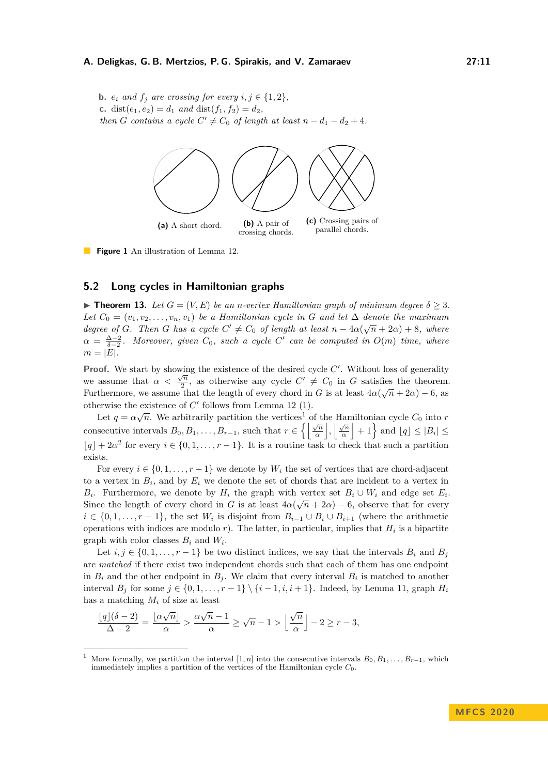<span id="page-10-1"></span>**b.**  $e_i$  and  $f_j$  are crossing for every  $i, j \in \{1, 2\}$ , **c.** dist $(e_1, e_2) = d_1$  *and* dist $(f_1, f_2) = d_2$ *, then G contains a cycle*  $C' \neq C_0$  *of length at least*  $n - d_1 - d_2 + 4$ *.* 



**Figure 1** An illustration of Lemma [12.](#page-9-1)

### **5.2 Long cycles in Hamiltonian graphs**

<span id="page-10-0"></span>**Find 13.** *Let*  $G = (V, E)$  *be an n-vertex Hamiltonian graph of minimum degree*  $\delta \geq 3$ *.* Let  $C_0 = (v_1, v_2, \ldots, v_n, v_1)$  be a Hamiltonian cycle in *G* and let  $\Delta$  denote the maximum *degree of G*. Then *G* has a cycle  $C' \neq C_0$  of length at least  $n - 4\alpha(\sqrt{n} + 2\alpha) + 8$ , where  $\alpha = \frac{\Delta - 2}{\delta - 2}$ *. Moreover, given*  $C_0$ *, such a cycle*  $C'$  can be computed in  $O(m)$  time, where  $m = |E|$ .

**Proof.** We start by showing the existence of the desired cycle  $C'$ . Without loss of generality we assume that  $\alpha < \frac{\sqrt{n}}{2}$  $\frac{\sqrt{n}}{2}$ , as otherwise any cycle  $C' \neq C_0$  in *G* satisfies the theorem. Furthermore, we assume that the length of every chord in *G* is at least  $4\alpha(\sqrt{n} + 2\alpha) - 6$ , as otherwise the existence of  $C'$  follows from Lemma [12](#page-9-1) (1).

Let  $q = \alpha \sqrt{n}$ . We arbitrarily partition the vertices<sup>[1](#page-10-2)</sup> of the Hamiltonian cycle  $C_0$  into *r* consecutive intervals  $B_0, B_1, \ldots, B_{r-1}$ , such that  $r \in \left\{ \left| \frac{\sqrt{n}}{\alpha} \right| \right\}$  $\frac{\sqrt{n}}{\alpha}$ ,  $\frac{\sqrt{n}}{\alpha}$  $\left| \frac{\sqrt{n}}{\alpha} \right|$  + 1 $\}$  and  $\lfloor q \rfloor \leq |B_i| \leq$  $|q| + 2a^2$  for every  $i \in \{0, 1, \ldots, r - 1\}$ . It is a routine task to check that such a partition exists.

For every  $i \in \{0, 1, \ldots, r-1\}$  we denote by  $W_i$  the set of vertices that are chord-adjacent to a vertex in  $B_i$ , and by  $E_i$  we denote the set of chords that are incident to a vertex in *B*<sup>*i*</sup>. Furthermore, we denote by *H*<sup>*i*</sup> the graph with vertex set  $B_i \cup W_i$  and edge set  $E_i$ . Since the length of every chord in *G* is at least  $4\alpha(\sqrt{n} + 2\alpha) - 6$ , observe that for every  $i \in \{0, 1, \ldots, r - 1\}$ , the set  $W_i$  is disjoint from  $B_{i-1} \cup B_i \cup B_{i+1}$  (where the arithmetic operations with indices are modulo  $r$ ). The latter, in particular, implies that  $H_i$  is a bipartite graph with color classes  $B_i$  and  $W_i$ .

Let  $i, j \in \{0, 1, \ldots, r-1\}$  be two distinct indices, we say that the intervals  $B_i$  and  $B_j$ are *matched* if there exist two independent chords such that each of them has one endpoint in  $B_i$  and the other endpoint in  $B_j$ . We claim that every interval  $B_i$  is matched to another interval *B<sup>j</sup>* for some *j* ∈ {0*,* 1*, . . . , r* − 1} \ {*i* − 1*, i, i* + 1}. Indeed, by Lemma [11,](#page-9-2) graph *H<sup>i</sup>* has a matching *M<sup>i</sup>* of size at least

$$
\frac{\lfloor q \rfloor(\delta - 2)}{\Delta - 2} = \frac{\lfloor \alpha \sqrt{n} \rfloor}{\alpha} > \frac{\alpha \sqrt{n} - 1}{\alpha} \ge \sqrt{n} - 1 > \left\lfloor \frac{\sqrt{n}}{\alpha} \right\rfloor - 2 \ge r - 3,
$$

<span id="page-10-2"></span>More formally, we partition the interval [1, *n*] into the consecutive intervals  $B_0, B_1, \ldots, B_{r-1}$ , which immediately implies a partition of the vertices of the Hamiltonian cycle  $C_0$ .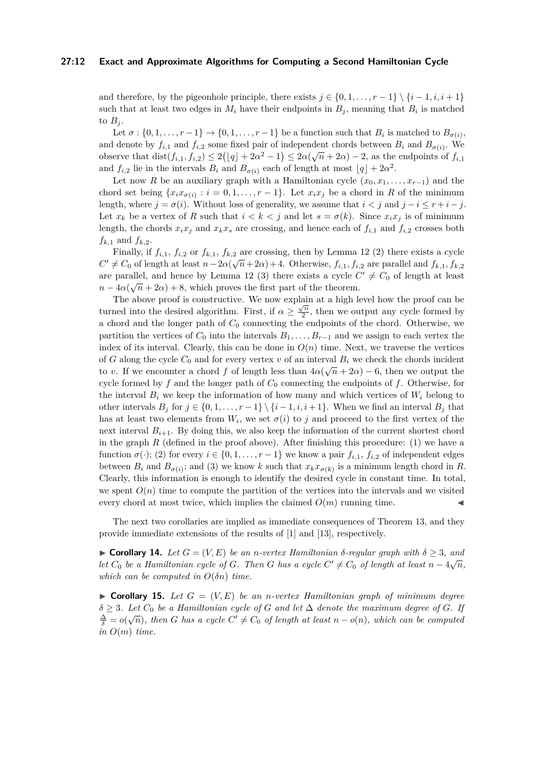#### **27:12 Exact and Approximate Algorithms for Computing a Second Hamiltonian Cycle**

and therefore, by the pigeonhole principle, there exists  $j \in \{0, 1, \ldots, r-1\} \setminus \{i-1, i, i+1\}$ such that at least two edges in  $M_i$  have their endpoints in  $B_j$ , meaning that  $B_i$  is matched to  $B_i$ .

Let  $\sigma: \{0, 1, \ldots, r-1\} \to \{0, 1, \ldots, r-1\}$  be a function such that  $B_i$  is matched to  $B_{\sigma(i)}$ , and denote by  $f_{i,1}$  and  $f_{i,2}$  some fixed pair of independent chords between  $B_i$  and  $B_{\sigma(i)}$ . We observe that  $dist(f_{i,1}, f_{i,2}) \leq 2(|q| + 2\alpha^2 - 1) \leq 2\alpha(\sqrt{n} + 2\alpha) - 2$ , as the endpoints of  $f_{i,1}$ and  $f_{i,2}$  lie in the intervals  $B_i$  and  $B_{\sigma(i)}$  each of length at most  $\lfloor q \rfloor + 2\alpha^2$ .

Let now *R* be an auxiliary graph with a Hamiltonian cycle  $(x_0, x_1, \ldots, x_{r-1})$  and the chord set being  $\{x_i x_{\sigma(i)} : i = 0, 1, \ldots, r - 1\}$ . Let  $x_i x_j$  be a chord in *R* of the minimum length, where  $j = \sigma(i)$ . Without loss of generality, we assume that  $i < j$  and  $j - i \leq r + i - j$ . Let  $x_k$  be a vertex of *R* such that  $i < k < j$  and let  $s = \sigma(k)$ . Since  $x_i x_j$  is of minimum length, the chords  $x_i x_j$  and  $x_k x_s$  are crossing, and hence each of  $f_{i,1}$  and  $f_{i,2}$  crosses both  $f_{k,1}$  and  $f_{k,2}$ .

Finally, if  $f_{i,1}$ ,  $f_{i,2}$  or  $f_{k,1}$ ,  $f_{k,2}$  are crossing, then by Lemma [12](#page-9-1) (2) there exists a cycle  $C' \neq C_0$  of length at least  $n - 2\alpha(\sqrt{n} + 2\alpha) + 4$ . Otherwise,  $f_{i,1}, f_{i,2}$  are parallel and  $f_{k,1}, f_{k,2}$ are parallel, and hence by Lemma [12](#page-9-1) (3) there exists a cycle  $C' \neq C_0$  of length at least  $n - 4\alpha(\sqrt{n} + 2\alpha) + 8$ , which proves the first part of the theorem.

The above proof is constructive. We now explain at a high level how the proof can be turned into the desired algorithm. First, if  $\alpha \geq \frac{\sqrt{n}}{2}$  $\frac{\sqrt{n}}{2}$ , then we output any cycle formed by a chord and the longer path of *C*<sup>0</sup> connecting the endpoints of the chord. Otherwise, we partition the vertices of  $C_0$  into the intervals  $B_1, \ldots, B_{r-1}$  and we assign to each vertex the index of its interval. Clearly, this can be done in  $O(n)$  time. Next, we traverse the vertices of *G* along the cycle  $C_0$  and for every vertex *v* of an interval  $B_i$  we check the chords incident to *v*. If we encounter a chord f of length less than  $4\alpha(\sqrt{n} + 2\alpha) - 6$ , then we output the cycle formed by *f* and the longer path of *C*<sup>0</sup> connecting the endpoints of *f*. Otherwise, for the interval  $B_i$  we keep the information of how many and which vertices of  $W_i$  belong to other intervals  $B_j$  for  $j \in \{0, 1, \ldots, r-1\} \setminus \{i-1, i, i+1\}$ . When we find an interval  $B_j$  that has at least two elements from  $W_i$ , we set  $\sigma(i)$  to *j* and proceed to the first vertex of the next interval  $B_{i+1}$ . By doing this, we also keep the information of the current shortest chord in the graph  $R$  (defined in the proof above). After finishing this procedure: (1) we have a function  $\sigma(\cdot)$ ; (2) for every  $i \in \{0, 1, \ldots, r-1\}$  we know a pair  $f_{i,1}$ ,  $f_{i,2}$  of independent edges between  $B_i$  and  $B_{\sigma(i)}$ ; and (3) we know *k* such that  $x_k x_{\sigma(k)}$  is a minimum length chord in *R*. Clearly, this information is enough to identify the desired cycle in constant time. In total, we spent  $O(n)$  time to compute the partition of the vertices into the intervals and we visited every chord at most twice, which implies the claimed  $O(m)$  running time.

The next two corollaries are implied as immediate consequences of Theorem [13,](#page-10-0) and they provide immediate extensions of the results of [\[1\]](#page-12-20) and [\[13\]](#page-12-21), respectively.

<span id="page-11-0"></span> $\triangleright$  **Corollary 14.** *Let G* = (*V, E*) *be an n*-vertex Hamiltonian δ-regular graph with δ > 3, and *let*  $C_0$  *be a Hamiltonian cycle of G. Then G has a cycle*  $C' \neq C_0$  *of length at least*  $n - 4\sqrt{n}$ *, which can be computed in*  $O(\delta n)$  *time.* 

<span id="page-11-1"></span> $\triangleright$  **Corollary 15.** Let  $G = (V, E)$  be an *n*-vertex Hamiltonian graph of minimum degree  $\delta \geq 3$ *. Let*  $C_0$  *be a Hamiltonian cycle of G and let*  $\Delta$  *denote the maximum degree of G. If*  $\frac{\Delta}{\delta} = o(\sqrt{n})$ , then *G* has a cycle  $C' \neq C_0$  of length at least  $n - o(n)$ , which can be computed  $\frac{\Delta}{\delta} = o(\sqrt{n})$ , then *G* has a cycle  $C' \neq C_0$  of length at least  $n - o(n)$ , which can be computed *in O*(*m*) *time.*